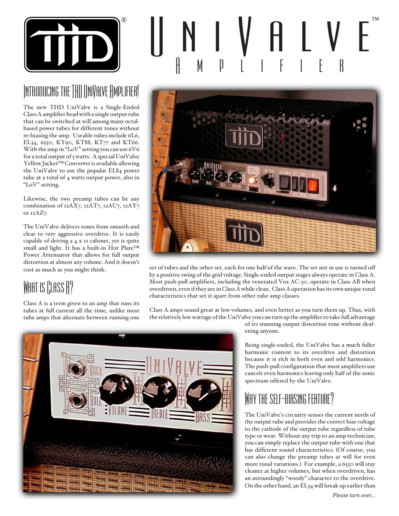

# Introducing the THD UniValve Amplifier!

The new THD UniValve is a Single-Ended Class A amplifier head with a single output tube that can be switched at will among many octalbased power tubes for different tones without re-biasing the amp. Useable tubes include 6L6, EL34, 6550, KT90, KT88, KT77 and KT66. With the amp in "LoV" setting you can use 6V6 for a total output of 5 watts. A special UniValve Yellow Jacket™ Converter is available allowing the UniValve to use the popular EL84 power tube at a total of 4 watts output power, also in "LoV" setting.

Likewise, the two preamp tubes can be any combination of 12AX7, 12AT7, 12AU7, 12AY7 or 12AZ7.

The UniValve delivers tones from smooth and clear to very aggressive overdrive. It is easily capable of driving a 4 x 12 cabinet, yet is quite small and light. It has a built-in Hot Plate™ Power Attenuator that allows for full output distortion at almost any volume. And it doesn't cost as much as you might think.

## WHAT IS CLASS A?

Class A is a term given to an amp that runs its tubes at full current all the time, unlike most tube amps that alternate between running one





set of tubes and the other set, each for one half of the wave. The set not in use is turned off by a positive swing of the grid voltage. Single-ended output stages always operate in Class A. Most push-pull amplifiers, including the venerated Vox AC-30, operate in Class AB when overdriven, even if they are in Class A while clean. Class A operation has its own unique tonal characteristics that set it apart from other tube amp classes.

Class A amps sound great at low volumes, and even better as you turn them up. Thus, with the relatively low wattage of the UniValve you can turn up the amplifier to take full advantage



of its stunning output distortion tone without deafening anyone.

Being single-ended, the UniValve has a much fuller harmonic content to its overdrive and distortion because it is rich in both even and odd harmonics. The push-pull configuration that most amplifiers use cancels even harmonics leaving only half of the sonic spectrum offered by the UniValve.

### Why the self-biasing feature?

The UniValve's circuitry senses the current needs of the output tube and provides the correct bias voltage to the cathode of the output tube regardless of tube type or wear. Without any trip to an amp technician, you can simply replace the output tube with one that has different sound characteristics. (Of course, you can also change the preamp tubes at will for even more tonal variations.) For example, a 6550 will stay cleaner at higher volumes, but when overdriven, has an astoundingly "woody" character to the overdrive. On the other hand, an EL34 will break up earlier than